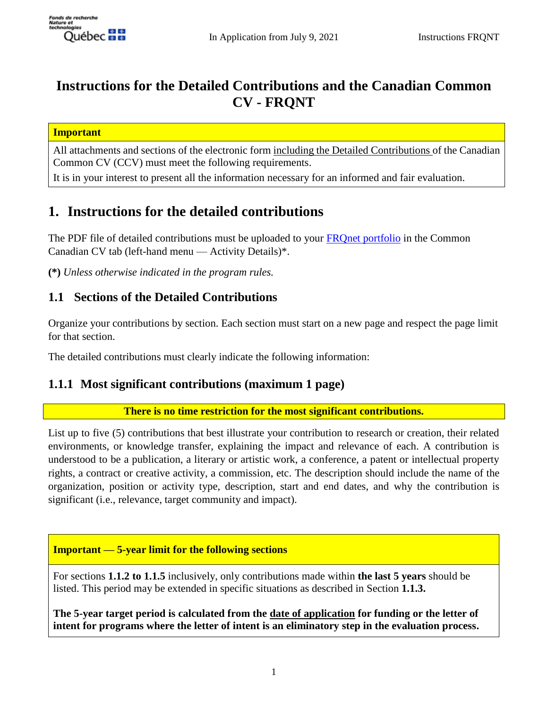

# **Instructions for the Detailed Contributions and the Canadian Common CV - FRQNT**

#### **Important**

All attachments and sections of the electronic form including the Detailed Contributions of the Canadian Common CV (CCV) must meet the following requirements.

It is in your interest to present all the information necessary for an informed and fair evaluation.

# **1. Instructions for the detailed contributions**

The PDF file of detailed contributions must be uploaded to your FROnet portfolio in the Common Canadian CV tab (left-hand menu — Activity Details)\*.

**(\*)** *Unless otherwise indicated in the program rules.*

# **1.1 Sections of the Detailed Contributions**

Organize your contributions by section. Each section must start on a new page and respect the page limit for that section.

The detailed contributions must clearly indicate the following information:

## **1.1.1 Most significant contributions (maximum 1 page)**

**There is no time restriction for the most significant contributions.**

List up to five (5) contributions that best illustrate your contribution to research or creation, their related environments, or knowledge transfer, explaining the impact and relevance of each. A contribution is understood to be a publication, a literary or artistic work, a conference, a patent or intellectual property rights, a contract or creative activity, a commission, etc. The description should include the name of the organization, position or activity type, description, start and end dates, and why the contribution is significant (i.e., relevance, target community and impact).

### **Important — 5-year limit for the following sections**

For sections **1.1.2 to 1.1.5** inclusively, only contributions made within **the last 5 years** should be listed. This period may be extended in specific situations as described in Section **1.1.3.**

**The 5-year target period is calculated from the date of application for funding or the letter of intent for programs where the letter of intent is an eliminatory step in the evaluation process.**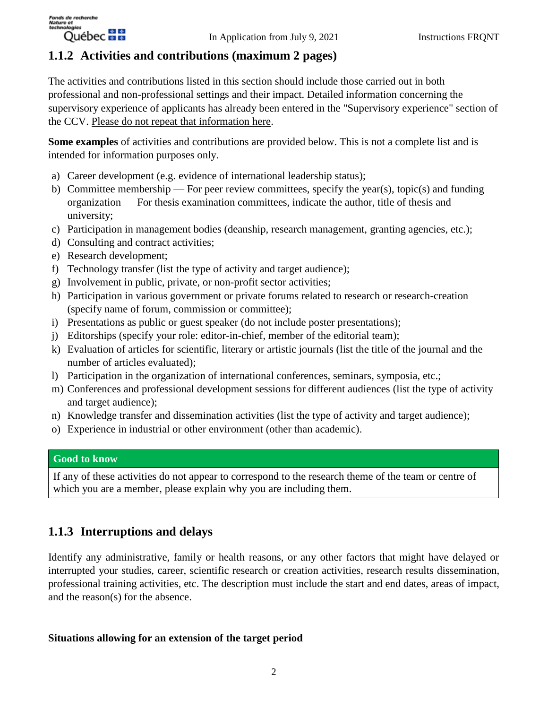

## **1.1.2 Activities and contributions (maximum 2 pages)**

The activities and contributions listed in this section should include those carried out in both professional and non-professional settings and their impact. Detailed information concerning the supervisory experience of applicants has already been entered in the "Supervisory experience" section of the CCV. Please do not repeat that information here.

**Some examples** of activities and contributions are provided below. This is not a complete list and is intended for information purposes only.

- a) Career development (e.g. evidence of international leadership status);
- b) Committee membership For peer review committees, specify the year(s), topic(s) and funding organization — For thesis examination committees, indicate the author, title of thesis and university;
- c) Participation in management bodies (deanship, research management, granting agencies, etc.);
- d) Consulting and contract activities;
- e) Research development;
- f) Technology transfer (list the type of activity and target audience);
- g) Involvement in public, private, or non-profit sector activities;
- h) Participation in various government or private forums related to research or research-creation (specify name of forum, commission or committee);
- i) Presentations as public or guest speaker (do not include poster presentations);
- j) Editorships (specify your role: editor-in-chief, member of the editorial team);
- k) Evaluation of articles for scientific, literary or artistic journals (list the title of the journal and the number of articles evaluated);
- l) Participation in the organization of international conferences, seminars, symposia, etc.;
- m) Conferences and professional development sessions for different audiences (list the type of activity and target audience);
- n) Knowledge transfer and dissemination activities (list the type of activity and target audience);
- o) Experience in industrial or other environment (other than academic).

### **Good to know**

If any of these activities do not appear to correspond to the research theme of the team or centre of which you are a member, please explain why you are including them.

# **1.1.3 Interruptions and delays**

Identify any administrative, family or health reasons, or any other factors that might have delayed or interrupted your studies, career, scientific research or creation activities, research results dissemination, professional training activities, etc. The description must include the start and end dates, areas of impact, and the reason(s) for the absence.

### **Situations allowing for an extension of the target period**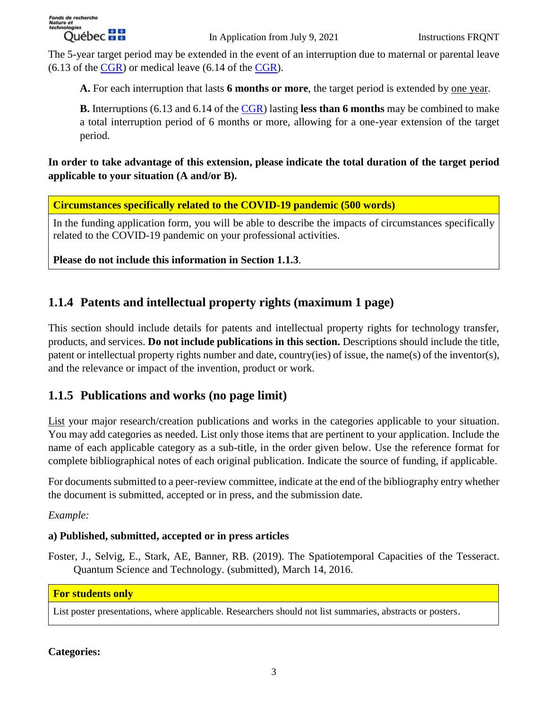The 5-year target period may be extended in the event of an interruption due to maternal or parental leave  $(6.13 \text{ of the CGR})$  or medical leave  $(6.14 \text{ of the CGR})$ .

**A.** For each interruption that lasts **6 months or more**, the target period is extended by one year.

**B.** Interruptions (6.13 and 6.14 of the [CGR\)](https://frq.gouv.qc.ca/en/common-general-rules/) lasting **less than 6 months** may be combined to make a total interruption period of 6 months or more, allowing for a one-year extension of the target period.

**In order to take advantage of this extension, please indicate the total duration of the target period applicable to your situation (A and/or B).**

**Circumstances specifically related to the COVID-19 pandemic (500 words)**

In the funding application form, you will be able to describe the impacts of circumstances specifically related to the COVID-19 pandemic on your professional activities.

**Please do not include this information in Section 1.1.3**.

# **1.1.4 Patents and intellectual property rights (maximum 1 page)**

This section should include details for patents and intellectual property rights for technology transfer, products, and services. **Do not include publications in this section.** Descriptions should include the title, patent or intellectual property rights number and date, country(ies) of issue, the name(s) of the inventor(s), and the relevance or impact of the invention, product or work.

# **1.1.5 Publications and works (no page limit)**

List your major research/creation publications and works in the categories applicable to your situation. You may add categories as needed. List only those items that are pertinent to your application. Include the name of each applicable category as a sub-title, in the order given below. Use the reference format for complete bibliographical notes of each original publication. Indicate the source of funding, if applicable.

For documents submitted to a peer-review committee, indicate at the end of the bibliography entry whether the document is submitted, accepted or in press, and the submission date.

*Example:*

### **a) Published, submitted, accepted or in press articles**

Foster, J., Selvig, E., Stark, AE, Banner, RB. (2019). The Spatiotemporal Capacities of the Tesseract. Quantum Science and Technology. (submitted), March 14, 2016.

### **For students only**

List poster presentations, where applicable. Researchers should not list summaries, abstracts or posters.

### **Categories:**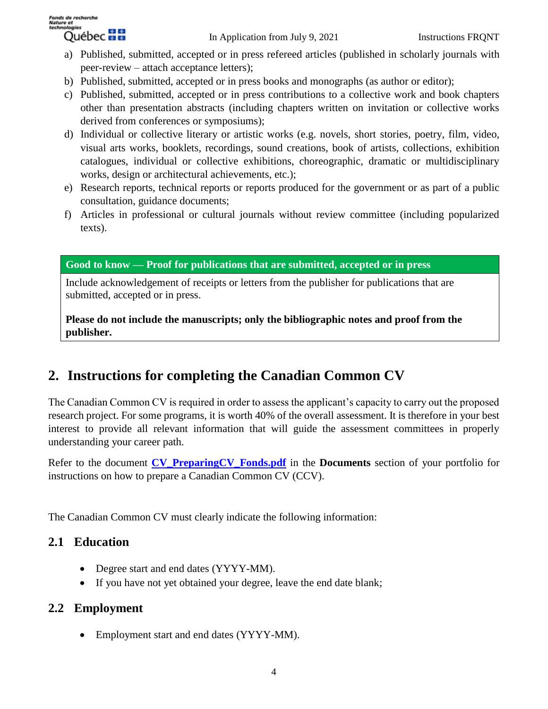- a) Published, submitted, accepted or in press refereed articles (published in scholarly journals with peer-review – attach acceptance letters);
- b) Published, submitted, accepted or in press books and monographs (as author or editor);
- c) Published, submitted, accepted or in press contributions to a collective work and book chapters other than presentation abstracts (including chapters written on invitation or collective works derived from conferences or symposiums);
- d) Individual or collective literary or artistic works (e.g. novels, short stories, poetry, film, video, visual arts works, booklets, recordings, sound creations, book of artists, collections, exhibition catalogues, individual or collective exhibitions, choreographic, dramatic or multidisciplinary works, design or architectural achievements, etc.);
- e) Research reports, technical reports or reports produced for the government or as part of a public consultation, guidance documents;
- f) Articles in professional or cultural journals without review committee (including popularized texts).

**Good to know — Proof for publications that are submitted, accepted or in press**

Include acknowledgement of receipts or letters from the publisher for publications that are submitted, accepted or in press.

**Please do not include the manuscripts; only the bibliographic notes and proof from the publisher.**

# **2. Instructions for completing the Canadian Common CV**

The Canadian Common CV is required in order to assess the applicant's capacity to carry out the proposed research project. For some programs, it is worth 40% of the overall assessment. It is therefore in your best interest to provide all relevant information that will guide the assessment committees in properly understanding your career path.

Refer to the document **[CV\\_PreparingCV\\_Fonds.pdf](https://frq.gouv.qc.ca/app/uploads/2020/12/preparing-cv-for-the-fonds_.pdff)** in the **Documents** section of your portfolio for instructions on how to prepare a Canadian Common CV (CCV).

The Canadian Common CV must clearly indicate the following information:

## **2.1 Education**

- Degree start and end dates (YYYY-MM).
- If you have not yet obtained your degree, leave the end date blank;

## **2.2 Employment**

• Employment start and end dates (YYYY-MM).